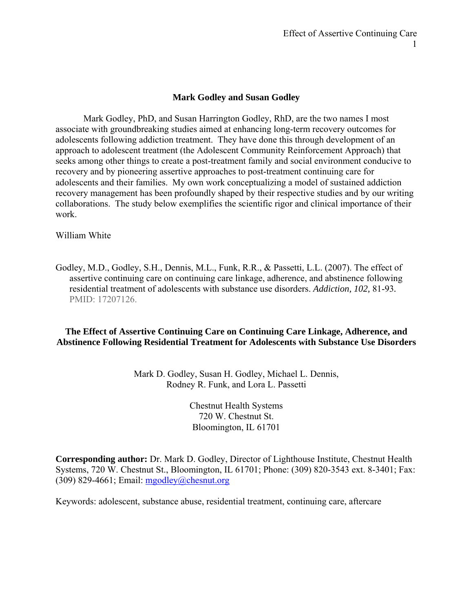## **Mark Godley and Susan Godley**

Mark Godley, PhD, and Susan Harrington Godley, RhD, are the two names I most associate with groundbreaking studies aimed at enhancing long-term recovery outcomes for adolescents following addiction treatment. They have done this through development of an approach to adolescent treatment (the Adolescent Community Reinforcement Approach) that seeks among other things to create a post-treatment family and social environment conducive to recovery and by pioneering assertive approaches to post-treatment continuing care for adolescents and their families. My own work conceptualizing a model of sustained addiction recovery management has been profoundly shaped by their respective studies and by our writing collaborations. The study below exemplifies the scientific rigor and clinical importance of their work.

William White

Godley, M.D., Godley, S.H., Dennis, M.L., Funk, R.R., & Passetti, L.L. (2007). The effect of assertive continuing care on continuing care linkage, adherence, and abstinence following residential treatment of adolescents with substance use disorders. *Addiction, 102,* 81-93*.*  PMID: 17207126.

## **The Effect of Assertive Continuing Care on Continuing Care Linkage, Adherence, and Abstinence Following Residential Treatment for Adolescents with Substance Use Disorders**

Mark D. Godley, Susan H. Godley, Michael L. Dennis, Rodney R. Funk, and Lora L. Passetti

> Chestnut Health Systems 720 W. Chestnut St. Bloomington, IL 61701

**Corresponding author:** Dr. Mark D. Godley, Director of Lighthouse Institute, Chestnut Health Systems, 720 W. Chestnut St., Bloomington, IL 61701; Phone: (309) 820-3543 ext. 8-3401; Fax: (309) 829-4661; Email:  $mgodlev@chesnut.org$ 

Keywords: adolescent, substance abuse, residential treatment, continuing care, aftercare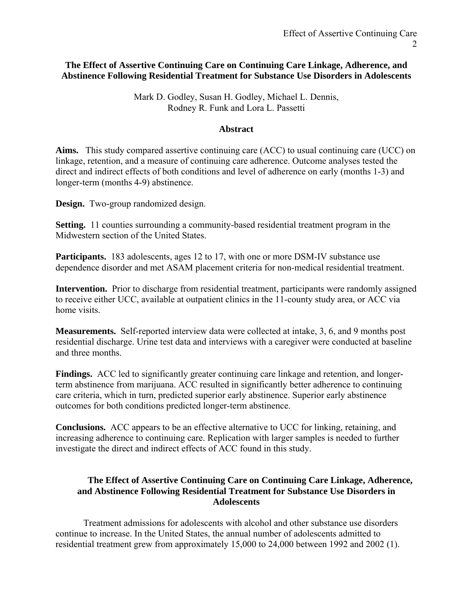## **The Effect of Assertive Continuing Care on Continuing Care Linkage, Adherence, and Abstinence Following Residential Treatment for Substance Use Disorders in Adolescents**

Mark D. Godley, Susan H. Godley, Michael L. Dennis, Rodney R. Funk and Lora L. Passetti

### **Abstract**

Aims. This study compared assertive continuing care (ACC) to usual continuing care (UCC) on linkage, retention, and a measure of continuing care adherence. Outcome analyses tested the direct and indirect effects of both conditions and level of adherence on early (months 1-3) and longer-term (months 4-9) abstinence.

**Design.** Two-group randomized design.

**Setting.** 11 counties surrounding a community-based residential treatment program in the Midwestern section of the United States.

**Participants.** 183 adolescents, ages 12 to 17, with one or more DSM-IV substance use dependence disorder and met ASAM placement criteria for non-medical residential treatment.

**Intervention.** Prior to discharge from residential treatment, participants were randomly assigned to receive either UCC, available at outpatient clinics in the 11-county study area, or ACC via home visits.

**Measurements.** Self-reported interview data were collected at intake, 3, 6, and 9 months post residential discharge. Urine test data and interviews with a caregiver were conducted at baseline and three months.

**Findings.** ACC led to significantly greater continuing care linkage and retention, and longerterm abstinence from marijuana. ACC resulted in significantly better adherence to continuing care criteria, which in turn, predicted superior early abstinence. Superior early abstinence outcomes for both conditions predicted longer-term abstinence.

**Conclusions.** ACC appears to be an effective alternative to UCC for linking, retaining, and increasing adherence to continuing care. Replication with larger samples is needed to further investigate the direct and indirect effects of ACC found in this study.

## **The Effect of Assertive Continuing Care on Continuing Care Linkage, Adherence, and Abstinence Following Residential Treatment for Substance Use Disorders in Adolescents**

Treatment admissions for adolescents with alcohol and other substance use disorders continue to increase. In the United States, the annual number of adolescents admitted to residential treatment grew from approximately 15,000 to 24,000 between 1992 and 2002 (1).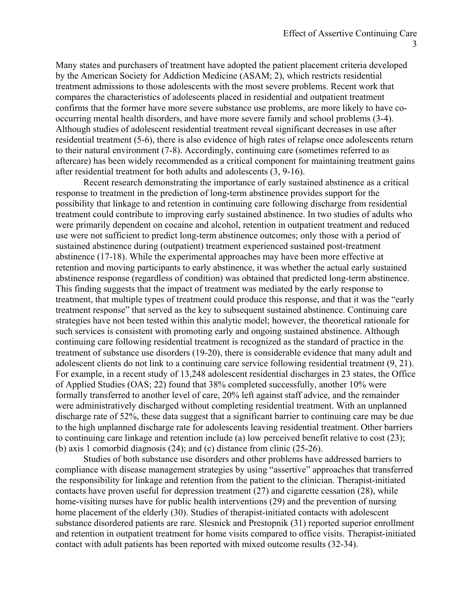Many states and purchasers of treatment have adopted the patient placement criteria developed by the American Society for Addiction Medicine (ASAM; 2), which restricts residential treatment admissions to those adolescents with the most severe problems. Recent work that compares the characteristics of adolescents placed in residential and outpatient treatment confirms that the former have more severe substance use problems, are more likely to have cooccurring mental health disorders, and have more severe family and school problems (3-4). Although studies of adolescent residential treatment reveal significant decreases in use after residential treatment (5-6), there is also evidence of high rates of relapse once adolescents return to their natural environment (7-8). Accordingly, continuing care (sometimes referred to as aftercare) has been widely recommended as a critical component for maintaining treatment gains after residential treatment for both adults and adolescents (3, 9-16).

Recent research demonstrating the importance of early sustained abstinence as a critical response to treatment in the prediction of long-term abstinence provides support for the possibility that linkage to and retention in continuing care following discharge from residential treatment could contribute to improving early sustained abstinence. In two studies of adults who were primarily dependent on cocaine and alcohol, retention in outpatient treatment and reduced use were not sufficient to predict long-term abstinence outcomes; only those with a period of sustained abstinence during (outpatient) treatment experienced sustained post-treatment abstinence (17-18). While the experimental approaches may have been more effective at retention and moving participants to early abstinence, it was whether the actual early sustained abstinence response (regardless of condition) was obtained that predicted long-term abstinence. This finding suggests that the impact of treatment was mediated by the early response to treatment, that multiple types of treatment could produce this response, and that it was the "early treatment response" that served as the key to subsequent sustained abstinence. Continuing care strategies have not been tested within this analytic model; however, the theoretical rationale for such services is consistent with promoting early and ongoing sustained abstinence. Although continuing care following residential treatment is recognized as the standard of practice in the treatment of substance use disorders (19-20), there is considerable evidence that many adult and adolescent clients do not link to a continuing care service following residential treatment (9, 21). For example, in a recent study of 13,248 adolescent residential discharges in 23 states, the Office of Applied Studies (OAS; 22) found that 38% completed successfully, another 10% were formally transferred to another level of care, 20% left against staff advice, and the remainder were administratively discharged without completing residential treatment. With an unplanned discharge rate of 52%, these data suggest that a significant barrier to continuing care may be due to the high unplanned discharge rate for adolescents leaving residential treatment. Other barriers to continuing care linkage and retention include (a) low perceived benefit relative to cost (23); (b) axis 1 comorbid diagnosis (24); and (c) distance from clinic (25-26).

Studies of both substance use disorders and other problems have addressed barriers to compliance with disease management strategies by using "assertive" approaches that transferred the responsibility for linkage and retention from the patient to the clinician. Therapist-initiated contacts have proven useful for depression treatment (27) and cigarette cessation (28), while home-visiting nurses have for public health interventions (29) and the prevention of nursing home placement of the elderly (30). Studies of therapist-initiated contacts with adolescent substance disordered patients are rare. Slesnick and Prestopnik (31) reported superior enrollment and retention in outpatient treatment for home visits compared to office visits. Therapist-initiated contact with adult patients has been reported with mixed outcome results (32-34).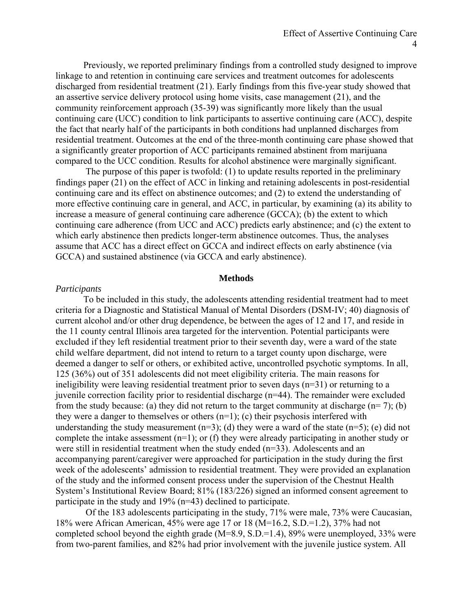Previously, we reported preliminary findings from a controlled study designed to improve linkage to and retention in continuing care services and treatment outcomes for adolescents discharged from residential treatment (21). Early findings from this five-year study showed that an assertive service delivery protocol using home visits, case management (21), and the community reinforcement approach (35-39) was significantly more likely than the usual continuing care (UCC) condition to link participants to assertive continuing care (ACC), despite the fact that nearly half of the participants in both conditions had unplanned discharges from residential treatment. Outcomes at the end of the three-month continuing care phase showed that a significantly greater proportion of ACC participants remained abstinent from marijuana compared to the UCC condition. Results for alcohol abstinence were marginally significant.

 The purpose of this paper is twofold: (1) to update results reported in the preliminary findings paper (21) on the effect of ACC in linking and retaining adolescents in post-residential continuing care and its effect on abstinence outcomes; and (2) to extend the understanding of more effective continuing care in general, and ACC, in particular, by examining (a) its ability to increase a measure of general continuing care adherence (GCCA); (b) the extent to which continuing care adherence (from UCC and ACC) predicts early abstinence; and (c) the extent to which early abstinence then predicts longer-term abstinence outcomes. Thus, the analyses assume that ACC has a direct effect on GCCA and indirect effects on early abstinence (via GCCA) and sustained abstinence (via GCCA and early abstinence).

#### **Methods**

#### *Participants*

To be included in this study, the adolescents attending residential treatment had to meet criteria for a Diagnostic and Statistical Manual of Mental Disorders (DSM-IV; 40) diagnosis of current alcohol and/or other drug dependence, be between the ages of 12 and 17, and reside in the 11 county central Illinois area targeted for the intervention. Potential participants were excluded if they left residential treatment prior to their seventh day, were a ward of the state child welfare department, did not intend to return to a target county upon discharge, were deemed a danger to self or others, or exhibited active, uncontrolled psychotic symptoms. In all, 125 (36%) out of 351 adolescents did not meet eligibility criteria. The main reasons for ineligibility were leaving residential treatment prior to seven days (n=31) or returning to a juvenile correction facility prior to residential discharge (n=44). The remainder were excluded from the study because: (a) they did not return to the target community at discharge  $(n= 7)$ ; (b) they were a danger to themselves or others  $(n=1)$ ; (c) their psychosis interfered with understanding the study measurement  $(n=3)$ ; (d) they were a ward of the state  $(n=5)$ ; (e) did not complete the intake assessment (n=1); or (f) they were already participating in another study or were still in residential treatment when the study ended (n=33). Adolescents and an accompanying parent/caregiver were approached for participation in the study during the first week of the adolescents' admission to residential treatment. They were provided an explanation of the study and the informed consent process under the supervision of the Chestnut Health System's Institutional Review Board; 81% (183/226) signed an informed consent agreement to participate in the study and 19% (n=43) declined to participate.

 Of the 183 adolescents participating in the study, 71% were male, 73% were Caucasian, 18% were African American, 45% were age 17 or 18 (M=16.2, S.D.=1.2), 37% had not completed school beyond the eighth grade (M=8.9, S.D.=1.4), 89% were unemployed, 33% were from two-parent families, and 82% had prior involvement with the juvenile justice system. All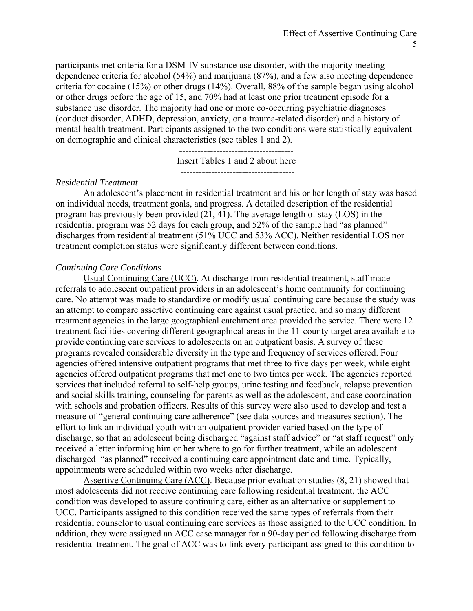participants met criteria for a DSM-IV substance use disorder, with the majority meeting dependence criteria for alcohol (54%) and marijuana (87%), and a few also meeting dependence criteria for cocaine (15%) or other drugs (14%). Overall, 88% of the sample began using alcohol or other drugs before the age of 15, and 70% had at least one prior treatment episode for a substance use disorder. The majority had one or more co-occurring psychiatric diagnoses (conduct disorder, ADHD, depression, anxiety, or a trauma-related disorder) and a history of mental health treatment. Participants assigned to the two conditions were statistically equivalent on demographic and clinical characteristics (see tables 1 and 2).

> Insert Tables 1 and 2 about here -------------------------------------

-------------------------------------

#### *Residential Treatment*

An adolescent's placement in residential treatment and his or her length of stay was based on individual needs, treatment goals, and progress. A detailed description of the residential program has previously been provided (21, 41). The average length of stay (LOS) in the residential program was 52 days for each group, and 52% of the sample had "as planned" discharges from residential treatment (51% UCC and 53% ACC). Neither residential LOS nor treatment completion status were significantly different between conditions.

### *Continuing Care Conditions*

Usual Continuing Care (UCC). At discharge from residential treatment, staff made referrals to adolescent outpatient providers in an adolescent's home community for continuing care. No attempt was made to standardize or modify usual continuing care because the study was an attempt to compare assertive continuing care against usual practice, and so many different treatment agencies in the large geographical catchment area provided the service. There were 12 treatment facilities covering different geographical areas in the 11-county target area available to provide continuing care services to adolescents on an outpatient basis. A survey of these programs revealed considerable diversity in the type and frequency of services offered. Four agencies offered intensive outpatient programs that met three to five days per week, while eight agencies offered outpatient programs that met one to two times per week. The agencies reported services that included referral to self-help groups, urine testing and feedback, relapse prevention and social skills training, counseling for parents as well as the adolescent, and case coordination with schools and probation officers. Results of this survey were also used to develop and test a measure of "general continuing care adherence" (see data sources and measures section). The effort to link an individual youth with an outpatient provider varied based on the type of discharge, so that an adolescent being discharged "against staff advice" or "at staff request" only received a letter informing him or her where to go for further treatment, while an adolescent discharged "as planned" received a continuing care appointment date and time. Typically, appointments were scheduled within two weeks after discharge.

Assertive Continuing Care (ACC). Because prior evaluation studies (8, 21) showed that most adolescents did not receive continuing care following residential treatment, the ACC condition was developed to assure continuing care, either as an alternative or supplement to UCC. Participants assigned to this condition received the same types of referrals from their residential counselor to usual continuing care services as those assigned to the UCC condition. In addition, they were assigned an ACC case manager for a 90-day period following discharge from residential treatment. The goal of ACC was to link every participant assigned to this condition to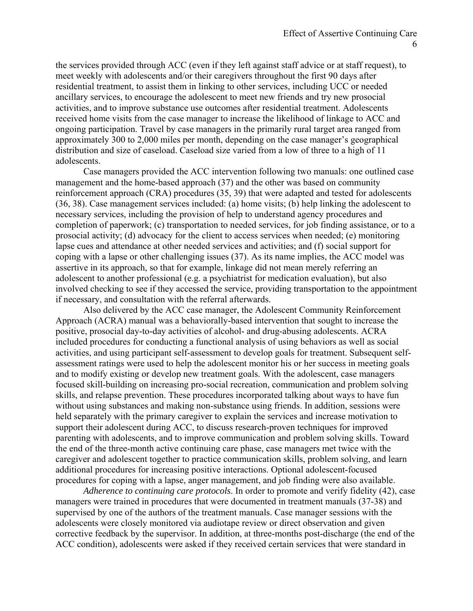the services provided through ACC (even if they left against staff advice or at staff request), to meet weekly with adolescents and/or their caregivers throughout the first 90 days after residential treatment, to assist them in linking to other services, including UCC or needed ancillary services, to encourage the adolescent to meet new friends and try new prosocial activities, and to improve substance use outcomes after residential treatment. Adolescents received home visits from the case manager to increase the likelihood of linkage to ACC and ongoing participation. Travel by case managers in the primarily rural target area ranged from approximately 300 to 2,000 miles per month, depending on the case manager's geographical distribution and size of caseload. Caseload size varied from a low of three to a high of 11 adolescents.

Case managers provided the ACC intervention following two manuals: one outlined case management and the home-based approach (37) and the other was based on community reinforcement approach (CRA) procedures (35, 39) that were adapted and tested for adolescents (36, 38). Case management services included: (a) home visits; (b) help linking the adolescent to necessary services, including the provision of help to understand agency procedures and completion of paperwork; (c) transportation to needed services, for job finding assistance, or to a prosocial activity; (d) advocacy for the client to access services when needed; (e) monitoring lapse cues and attendance at other needed services and activities; and (f) social support for coping with a lapse or other challenging issues (37). As its name implies, the ACC model was assertive in its approach, so that for example, linkage did not mean merely referring an adolescent to another professional (e.g. a psychiatrist for medication evaluation), but also involved checking to see if they accessed the service, providing transportation to the appointment if necessary, and consultation with the referral afterwards.

Also delivered by the ACC case manager, the Adolescent Community Reinforcement Approach (ACRA) manual was a behaviorally-based intervention that sought to increase the positive, prosocial day-to-day activities of alcohol- and drug-abusing adolescents. ACRA included procedures for conducting a functional analysis of using behaviors as well as social activities, and using participant self-assessment to develop goals for treatment. Subsequent selfassessment ratings were used to help the adolescent monitor his or her success in meeting goals and to modify existing or develop new treatment goals. With the adolescent, case managers focused skill-building on increasing pro-social recreation, communication and problem solving skills, and relapse prevention. These procedures incorporated talking about ways to have fun without using substances and making non-substance using friends. In addition, sessions were held separately with the primary caregiver to explain the services and increase motivation to support their adolescent during ACC, to discuss research-proven techniques for improved parenting with adolescents, and to improve communication and problem solving skills. Toward the end of the three-month active continuing care phase, case managers met twice with the caregiver and adolescent together to practice communication skills, problem solving, and learn additional procedures for increasing positive interactions. Optional adolescent-focused procedures for coping with a lapse, anger management, and job finding were also available.

*Adherence to continuing care protocols*. In order to promote and verify fidelity (42), case managers were trained in procedures that were documented in treatment manuals (37-38) and supervised by one of the authors of the treatment manuals. Case manager sessions with the adolescents were closely monitored via audiotape review or direct observation and given corrective feedback by the supervisor. In addition, at three-months post-discharge (the end of the ACC condition), adolescents were asked if they received certain services that were standard in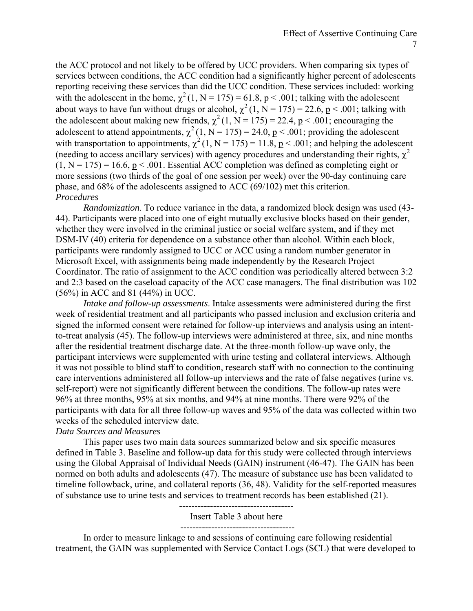the ACC protocol and not likely to be offered by UCC providers. When comparing six types of services between conditions, the ACC condition had a significantly higher percent of adolescents reporting receiving these services than did the UCC condition. These services included: working with the adolescent in the home,  $\chi^2(1, N = 175) = 61.8$ , p < .001; talking with the adolescent about ways to have fun without drugs or alcohol,  $\chi^2$  (1, N = 175) = 22.6, p < .001; talking with the adolescent about making new friends,  $\chi^2$  (1, N = 175) = 22.4, p < .001; encouraging the adolescent to attend appointments,  $\chi^2$  (1, N = 175) = 24.0, <u>p</u> < .001; providing the adolescent with transportation to appointments,  $\chi^2$  (1, N = 175) = 11.8, <u>p</u> < .001; and helping the adolescent (needing to access ancillary services) with agency procedures and understanding their rights,  $\gamma^2$  $(1, N = 175) = 16.6$ ,  $p < .001$ . Essential ACC completion was defined as completing eight or more sessions (two thirds of the goal of one session per week) over the 90-day continuing care phase, and 68% of the adolescents assigned to ACC (69/102) met this criterion. *Procedures* 

*Randomization*. To reduce variance in the data, a randomized block design was used (43- 44). Participants were placed into one of eight mutually exclusive blocks based on their gender, whether they were involved in the criminal justice or social welfare system, and if they met DSM-IV (40) criteria for dependence on a substance other than alcohol. Within each block, participants were randomly assigned to UCC or ACC using a random number generator in Microsoft Excel, with assignments being made independently by the Research Project Coordinator. The ratio of assignment to the ACC condition was periodically altered between 3:2 and 2:3 based on the caseload capacity of the ACC case managers. The final distribution was 102 (56%) in ACC and 81 (44%) in UCC.

*Intake and follow-up assessments*. Intake assessments were administered during the first week of residential treatment and all participants who passed inclusion and exclusion criteria and signed the informed consent were retained for follow-up interviews and analysis using an intentto-treat analysis (45). The follow-up interviews were administered at three, six, and nine months after the residential treatment discharge date. At the three-month follow-up wave only, the participant interviews were supplemented with urine testing and collateral interviews. Although it was not possible to blind staff to condition, research staff with no connection to the continuing care interventions administered all follow-up interviews and the rate of false negatives (urine vs. self-report) were not significantly different between the conditions. The follow-up rates were 96% at three months, 95% at six months, and 94% at nine months. There were 92% of the participants with data for all three follow-up waves and 95% of the data was collected within two weeks of the scheduled interview date.

#### *Data Sources and Measures*

 This paper uses two main data sources summarized below and six specific measures defined in Table 3. Baseline and follow-up data for this study were collected through interviews using the Global Appraisal of Individual Needs (GAIN) instrument (46-47). The GAIN has been normed on both adults and adolescents (47). The measure of substance use has been validated to timeline followback, urine, and collateral reports (36, 48). Validity for the self-reported measures of substance use to urine tests and services to treatment records has been established (21).

> ------------------------------------- Insert Table 3 about here

> -------------------------------------

In order to measure linkage to and sessions of continuing care following residential treatment, the GAIN was supplemented with Service Contact Logs (SCL) that were developed to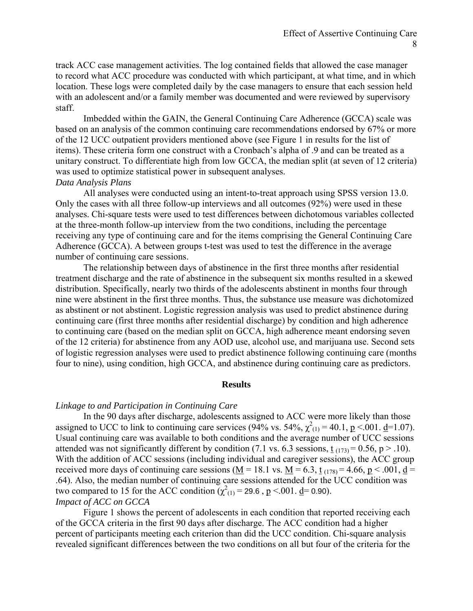track ACC case management activities. The log contained fields that allowed the case manager to record what ACC procedure was conducted with which participant, at what time, and in which location. These logs were completed daily by the case managers to ensure that each session held with an adolescent and/or a family member was documented and were reviewed by supervisory staff.

Imbedded within the GAIN, the General Continuing Care Adherence (GCCA) scale was based on an analysis of the common continuing care recommendations endorsed by 67% or more of the 12 UCC outpatient providers mentioned above (see Figure 1 in results for the list of items). These criteria form one construct with a Cronbach's alpha of .9 and can be treated as a unitary construct. To differentiate high from low GCCA, the median split (at seven of 12 criteria) was used to optimize statistical power in subsequent analyses. *Data Analysis Plans* 

All analyses were conducted using an intent-to-treat approach using SPSS version 13.0. Only the cases with all three follow-up interviews and all outcomes (92%) were used in these analyses. Chi-square tests were used to test differences between dichotomous variables collected at the three-month follow-up interview from the two conditions, including the percentage receiving any type of continuing care and for the items comprising the General Continuing Care Adherence (GCCA). A between groups t-test was used to test the difference in the average number of continuing care sessions.

 The relationship between days of abstinence in the first three months after residential treatment discharge and the rate of abstinence in the subsequent six months resulted in a skewed distribution. Specifically, nearly two thirds of the adolescents abstinent in months four through nine were abstinent in the first three months. Thus, the substance use measure was dichotomized as abstinent or not abstinent. Logistic regression analysis was used to predict abstinence during continuing care (first three months after residential discharge) by condition and high adherence to continuing care (based on the median split on GCCA, high adherence meant endorsing seven of the 12 criteria) for abstinence from any AOD use, alcohol use, and marijuana use. Second sets of logistic regression analyses were used to predict abstinence following continuing care (months four to nine), using condition, high GCCA, and abstinence during continuing care as predictors.

#### **Results**

#### *Linkage to and Participation in Continuing Care*

In the 90 days after discharge, adolescents assigned to ACC were more likely than those assigned to UCC to link to continuing care services (94% vs. 54%,  $\chi^2_{(1)} = 40.1$ ,  $p \le 0.01$ .  $d=1.07$ ). Usual continuing care was available to both conditions and the average number of UCC sessions attended was not significantly different by condition (7.1 vs. 6.3 sessions,  $t_{(173)} = 0.56$ , p > .10). With the addition of ACC sessions (including individual and caregiver sessions), the ACC group received more days of continuing care sessions ( $\underline{M} = 18.1$  vs.  $\underline{M} = 6.3$ ,  $\underline{t}_{(178)} = 4.66$ ,  $\underline{p} < .001$ ,  $\underline{d} =$ .64). Also, the median number of continuing care sessions attended for the UCC condition was two compared to 15 for the ACC condition  $\chi^2(1) = 29.6$ ,  $p \le 0.001$ . <u>d</u>= 0.90). *Impact of ACC on GCCA* 

Figure 1 shows the percent of adolescents in each condition that reported receiving each of the GCCA criteria in the first 90 days after discharge. The ACC condition had a higher percent of participants meeting each criterion than did the UCC condition. Chi-square analysis revealed significant differences between the two conditions on all but four of the criteria for the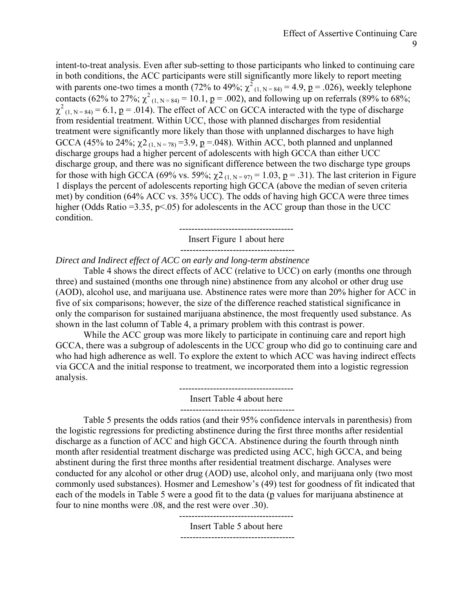intent-to-treat analysis. Even after sub-setting to those participants who linked to continuing care in both conditions, the ACC participants were still significantly more likely to report meeting with parents one-two times a month (72% to 49%;  $\chi^2$ <sub>(1, N = 84)</sub> = 4.9, <u>p</u> = .026), weekly telephone contacts (62% to 27%;  $\chi^2$ <sub>(1, N = 84)</sub> = 10.1, <u>p</u> = .002), and following up on referrals (89% to 68%;  $\chi^2$ <sub>(1, N = 84)</sub> = 6.1, <u>p</u> = .014). The effect of ACC on GCCA interacted with the type of discharge from residential treatment. Within UCC, those with planned discharges from residential treatment were significantly more likely than those with unplanned discharges to have high GCCA (45% to 24%;  $\chi$ 2<sub>(1, N = 78)</sub> = 3.9, p = 0.48). Within ACC, both planned and unplanned discharge groups had a higher percent of adolescents with high GCCA than either UCC discharge group, and there was no significant difference between the two discharge type groups for those with high GCCA (69% vs. 59%;  $\chi^2$ <sub>(1, N = 97)</sub> = 1.03, <u>p</u> = .31). The last criterion in Figure 1 displays the percent of adolescents reporting high GCCA (above the median of seven criteria met) by condition (64% ACC vs. 35% UCC). The odds of having high GCCA were three times higher (Odds Ratio = 3.35,  $p$ <.05) for adolescents in the ACC group than those in the UCC condition.

> ------------------------------------- Insert Figure 1 about here

> -------------------------------------

*Direct and Indirect effect of ACC on early and long-term abstinence* 

Table 4 shows the direct effects of ACC (relative to UCC) on early (months one through three) and sustained (months one through nine) abstinence from any alcohol or other drug use (AOD), alcohol use, and marijuana use. Abstinence rates were more than 20% higher for ACC in five of six comparisons; however, the size of the difference reached statistical significance in only the comparison for sustained marijuana abstinence, the most frequently used substance. As shown in the last column of Table 4, a primary problem with this contrast is power.

While the ACC group was more likely to participate in continuing care and report high GCCA, there was a subgroup of adolescents in the UCC group who did go to continuing care and who had high adherence as well. To explore the extent to which ACC was having indirect effects via GCCA and the initial response to treatment, we incorporated them into a logistic regression analysis.

-------------------------------------

Insert Table 4 about here

 Table 5 presents the odds ratios (and their 95% confidence intervals in parenthesis) from the logistic regressions for predicting abstinence during the first three months after residential discharge as a function of ACC and high GCCA. Abstinence during the fourth through ninth month after residential treatment discharge was predicted using ACC, high GCCA, and being abstinent during the first three months after residential treatment discharge. Analyses were conducted for any alcohol or other drug (AOD) use, alcohol only, and marijuana only (two most commonly used substances). Hosmer and Lemeshow's (49) test for goodness of fit indicated that each of the models in Table 5 were a good fit to the data (p values for marijuana abstinence at four to nine months were .08, and the rest were over .30).

> ------------------------------------- Insert Table 5 about here  $-$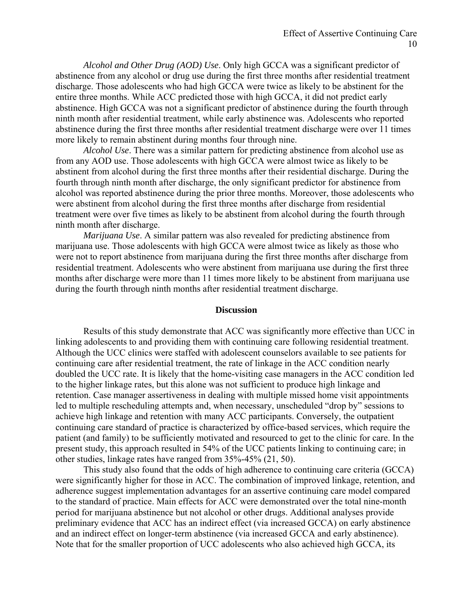*Alcohol and Other Drug (AOD) Use*. Only high GCCA was a significant predictor of abstinence from any alcohol or drug use during the first three months after residential treatment discharge. Those adolescents who had high GCCA were twice as likely to be abstinent for the entire three months. While ACC predicted those with high GCCA, it did not predict early abstinence. High GCCA was not a significant predictor of abstinence during the fourth through ninth month after residential treatment, while early abstinence was. Adolescents who reported abstinence during the first three months after residential treatment discharge were over 11 times more likely to remain abstinent during months four through nine.

*Alcohol Use*. There was a similar pattern for predicting abstinence from alcohol use as from any AOD use. Those adolescents with high GCCA were almost twice as likely to be abstinent from alcohol during the first three months after their residential discharge. During the fourth through ninth month after discharge, the only significant predictor for abstinence from alcohol was reported abstinence during the prior three months. Moreover, those adolescents who were abstinent from alcohol during the first three months after discharge from residential treatment were over five times as likely to be abstinent from alcohol during the fourth through ninth month after discharge.

*Marijuana Use*. A similar pattern was also revealed for predicting abstinence from marijuana use. Those adolescents with high GCCA were almost twice as likely as those who were not to report abstinence from marijuana during the first three months after discharge from residential treatment. Adolescents who were abstinent from marijuana use during the first three months after discharge were more than 11 times more likely to be abstinent from marijuana use during the fourth through ninth months after residential treatment discharge.

#### **Discussion**

Results of this study demonstrate that ACC was significantly more effective than UCC in linking adolescents to and providing them with continuing care following residential treatment. Although the UCC clinics were staffed with adolescent counselors available to see patients for continuing care after residential treatment, the rate of linkage in the ACC condition nearly doubled the UCC rate. It is likely that the home-visiting case managers in the ACC condition led to the higher linkage rates, but this alone was not sufficient to produce high linkage and retention. Case manager assertiveness in dealing with multiple missed home visit appointments led to multiple rescheduling attempts and, when necessary, unscheduled "drop by" sessions to achieve high linkage and retention with many ACC participants. Conversely, the outpatient continuing care standard of practice is characterized by office-based services, which require the patient (and family) to be sufficiently motivated and resourced to get to the clinic for care. In the present study, this approach resulted in 54% of the UCC patients linking to continuing care; in other studies, linkage rates have ranged from 35%-45% (21, 50).

This study also found that the odds of high adherence to continuing care criteria (GCCA) were significantly higher for those in ACC. The combination of improved linkage, retention, and adherence suggest implementation advantages for an assertive continuing care model compared to the standard of practice. Main effects for ACC were demonstrated over the total nine-month period for marijuana abstinence but not alcohol or other drugs. Additional analyses provide preliminary evidence that ACC has an indirect effect (via increased GCCA) on early abstinence and an indirect effect on longer-term abstinence (via increased GCCA and early abstinence). Note that for the smaller proportion of UCC adolescents who also achieved high GCCA, its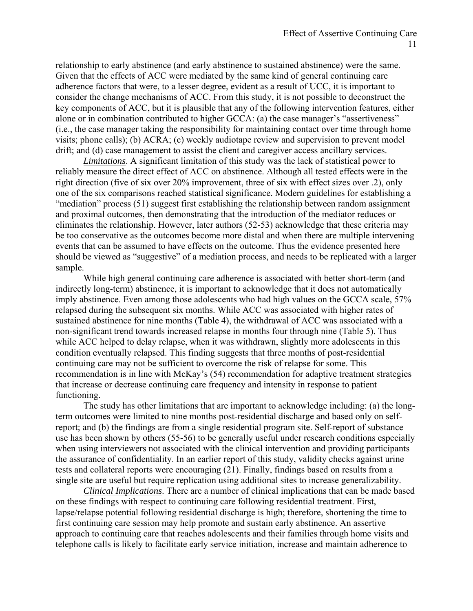relationship to early abstinence (and early abstinence to sustained abstinence) were the same. Given that the effects of ACC were mediated by the same kind of general continuing care adherence factors that were, to a lesser degree, evident as a result of UCC, it is important to consider the change mechanisms of ACC. From this study, it is not possible to deconstruct the key components of ACC, but it is plausible that any of the following intervention features, either alone or in combination contributed to higher GCCA: (a) the case manager's "assertiveness" (i.e., the case manager taking the responsibility for maintaining contact over time through home visits; phone calls); (b) ACRA; (c) weekly audiotape review and supervision to prevent model drift; and (d) case management to assist the client and caregiver access ancillary services.

*Limitations*. A significant limitation of this study was the lack of statistical power to reliably measure the direct effect of ACC on abstinence. Although all tested effects were in the right direction (five of six over 20% improvement, three of six with effect sizes over .2), only one of the six comparisons reached statistical significance. Modern guidelines for establishing a "mediation" process (51) suggest first establishing the relationship between random assignment and proximal outcomes, then demonstrating that the introduction of the mediator reduces or eliminates the relationship. However, later authors (52-53) acknowledge that these criteria may be too conservative as the outcomes become more distal and when there are multiple intervening events that can be assumed to have effects on the outcome. Thus the evidence presented here should be viewed as "suggestive" of a mediation process, and needs to be replicated with a larger sample.

While high general continuing care adherence is associated with better short-term (and indirectly long-term) abstinence, it is important to acknowledge that it does not automatically imply abstinence. Even among those adolescents who had high values on the GCCA scale, 57% relapsed during the subsequent six months. While ACC was associated with higher rates of sustained abstinence for nine months (Table 4), the withdrawal of ACC was associated with a non-significant trend towards increased relapse in months four through nine (Table 5). Thus while ACC helped to delay relapse, when it was withdrawn, slightly more adolescents in this condition eventually relapsed. This finding suggests that three months of post-residential continuing care may not be sufficient to overcome the risk of relapse for some. This recommendation is in line with McKay's (54) recommendation for adaptive treatment strategies that increase or decrease continuing care frequency and intensity in response to patient functioning.

The study has other limitations that are important to acknowledge including: (a) the longterm outcomes were limited to nine months post-residential discharge and based only on selfreport; and (b) the findings are from a single residential program site. Self-report of substance use has been shown by others (55-56) to be generally useful under research conditions especially when using interviewers not associated with the clinical intervention and providing participants the assurance of confidentiality. In an earlier report of this study, validity checks against urine tests and collateral reports were encouraging (21). Finally, findings based on results from a single site are useful but require replication using additional sites to increase generalizability.

*Clinical Implications*. There are a number of clinical implications that can be made based on these findings with respect to continuing care following residential treatment. First, lapse/relapse potential following residential discharge is high; therefore, shortening the time to first continuing care session may help promote and sustain early abstinence. An assertive approach to continuing care that reaches adolescents and their families through home visits and telephone calls is likely to facilitate early service initiation, increase and maintain adherence to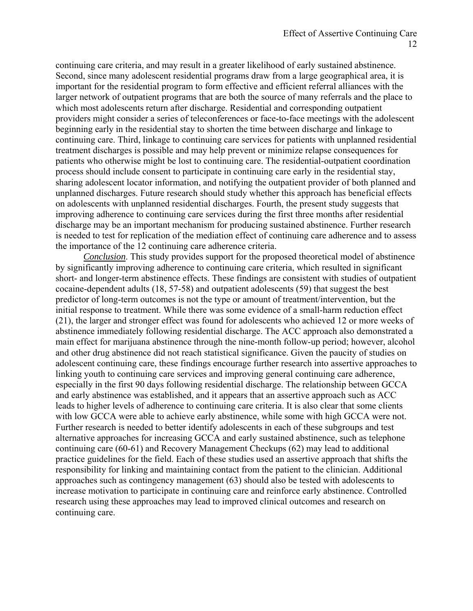continuing care criteria, and may result in a greater likelihood of early sustained abstinence. Second, since many adolescent residential programs draw from a large geographical area, it is important for the residential program to form effective and efficient referral alliances with the larger network of outpatient programs that are both the source of many referrals and the place to which most adolescents return after discharge. Residential and corresponding outpatient providers might consider a series of teleconferences or face-to-face meetings with the adolescent beginning early in the residential stay to shorten the time between discharge and linkage to continuing care. Third, linkage to continuing care services for patients with unplanned residential treatment discharges is possible and may help prevent or minimize relapse consequences for patients who otherwise might be lost to continuing care. The residential-outpatient coordination process should include consent to participate in continuing care early in the residential stay, sharing adolescent locator information, and notifying the outpatient provider of both planned and unplanned discharges. Future research should study whether this approach has beneficial effects on adolescents with unplanned residential discharges. Fourth, the present study suggests that improving adherence to continuing care services during the first three months after residential discharge may be an important mechanism for producing sustained abstinence. Further research is needed to test for replication of the mediation effect of continuing care adherence and to assess the importance of the 12 continuing care adherence criteria.

*Conclusion*. This study provides support for the proposed theoretical model of abstinence by significantly improving adherence to continuing care criteria, which resulted in significant short- and longer-term abstinence effects. These findings are consistent with studies of outpatient cocaine-dependent adults (18, 57-58) and outpatient adolescents (59) that suggest the best predictor of long-term outcomes is not the type or amount of treatment/intervention, but the initial response to treatment. While there was some evidence of a small-harm reduction effect (21), the larger and stronger effect was found for adolescents who achieved 12 or more weeks of abstinence immediately following residential discharge. The ACC approach also demonstrated a main effect for marijuana abstinence through the nine-month follow-up period; however, alcohol and other drug abstinence did not reach statistical significance. Given the paucity of studies on adolescent continuing care, these findings encourage further research into assertive approaches to linking youth to continuing care services and improving general continuing care adherence, especially in the first 90 days following residential discharge. The relationship between GCCA and early abstinence was established, and it appears that an assertive approach such as ACC leads to higher levels of adherence to continuing care criteria. It is also clear that some clients with low GCCA were able to achieve early abstinence, while some with high GCCA were not. Further research is needed to better identify adolescents in each of these subgroups and test alternative approaches for increasing GCCA and early sustained abstinence, such as telephone continuing care (60-61) and Recovery Management Checkups (62) may lead to additional practice guidelines for the field. Each of these studies used an assertive approach that shifts the responsibility for linking and maintaining contact from the patient to the clinician. Additional approaches such as contingency management (63) should also be tested with adolescents to increase motivation to participate in continuing care and reinforce early abstinence. Controlled research using these approaches may lead to improved clinical outcomes and research on continuing care.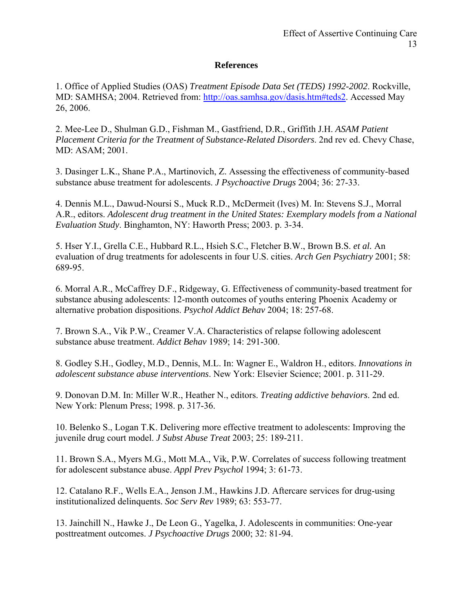## **References**

1. Office of Applied Studies (OAS) *Treatment Episode Data Set (TEDS) 1992-2002*. Rockville, MD: SAMHSA; 2004. Retrieved from: [http://oas.samhsa.gov/dasis.htm#teds2.](http://oas.samhsa.gov/dasis.htm#teds2) Accessed May 26, 2006.

2. Mee-Lee D., Shulman G.D., Fishman M., Gastfriend, D.R., Griffith J.H. *ASAM Patient Placement Criteria for the Treatment of Substance-Related Disorders*. 2nd rev ed. Chevy Chase, MD: ASAM; 2001.

3. Dasinger L.K., Shane P.A., Martinovich, Z. Assessing the effectiveness of community-based substance abuse treatment for adolescents. *J Psychoactive Drugs* 2004; 36: 27-33.

4. Dennis M.L., Dawud-Noursi S., Muck R.D., McDermeit (Ives) M. In: Stevens S.J., Morral A.R., editors. *Adolescent drug treatment in the United States: Exemplary models from a National Evaluation Study*. Binghamton, NY: Haworth Press; 2003. p. 3-34.

5. Hser Y.I., Grella C.E., Hubbard R.L., Hsieh S.C., Fletcher B.W., Brown B.S. *et al.* An evaluation of drug treatments for adolescents in four U.S. cities. *Arch Gen Psychiatry* 2001; 58: 689-95.

6. Morral A.R., McCaffrey D.F., Ridgeway, G. Effectiveness of community-based treatment for substance abusing adolescents: 12-month outcomes of youths entering Phoenix Academy or alternative probation dispositions. *Psychol Addict Behav* 2004; 18: 257-68.

7. Brown S.A., Vik P.W., Creamer V.A. Characteristics of relapse following adolescent substance abuse treatment. *Addict Behav* 1989; 14: 291-300.

8. Godley S.H., Godley, M.D., Dennis, M.L. In: Wagner E., Waldron H., editors. *Innovations in adolescent substance abuse interventions*. New York: Elsevier Science; 2001. p. 311-29.

9. Donovan D.M. In: Miller W.R., Heather N., editors. *Treating addictive behaviors*. 2nd ed. New York: Plenum Press; 1998. p. 317-36.

10. Belenko S., Logan T.K. Delivering more effective treatment to adolescents: Improving the juvenile drug court model. *J Subst Abuse Treat* 2003; 25: 189-211.

11. Brown S.A., Myers M.G., Mott M.A., Vik, P.W. Correlates of success following treatment for adolescent substance abuse. *Appl Prev Psychol* 1994; 3: 61-73.

12. Catalano R.F., Wells E.A., Jenson J.M., Hawkins J.D. Aftercare services for drug-using institutionalized delinquents. *Soc Serv Rev* 1989; 63: 553-77.

13. Jainchill N., Hawke J., De Leon G., Yagelka, J. Adolescents in communities: One-year posttreatment outcomes. *J Psychoactive Drugs* 2000; 32: 81-94.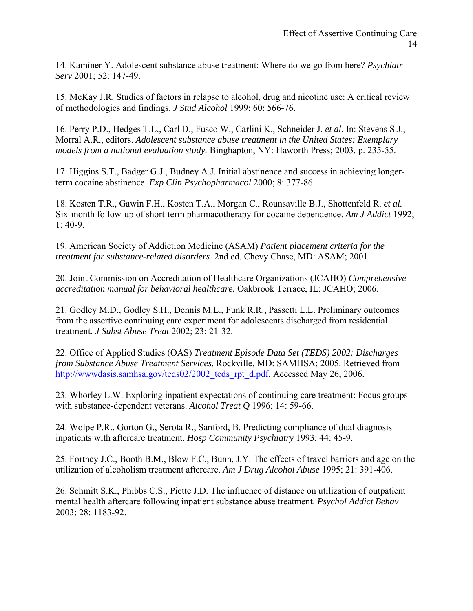14. Kaminer Y. Adolescent substance abuse treatment: Where do we go from here? *Psychiatr Serv* 2001; 52: 147-49.

15. McKay J.R. Studies of factors in relapse to alcohol, drug and nicotine use: A critical review of methodologies and findings. *J Stud Alcohol* 1999; 60: 566-76.

16. Perry P.D., Hedges T.L., Carl D., Fusco W., Carlini K., Schneider J. *et al.* In: Stevens S.J., Morral A.R., editors. *Adolescent substance abuse treatment in the United States: Exemplary models from a national evaluation study.* Binghapton, NY: Haworth Press; 2003. p. 235-55.

17. Higgins S.T., Badger G.J., Budney A.J. Initial abstinence and success in achieving longerterm cocaine abstinence. *Exp Clin Psychopharmacol* 2000; 8: 377-86.

18. Kosten T.R., Gawin F.H., Kosten T.A., Morgan C., Rounsaville B.J., Shottenfeld R. *et al.* Six-month follow-up of short-term pharmacotherapy for cocaine dependence. *Am J Addict* 1992;  $1: 40-9.$ 

19. American Society of Addiction Medicine (ASAM) *Patient placement criteria for the treatment for substance-related disorders*. 2nd ed. Chevy Chase, MD: ASAM; 2001.

20. Joint Commission on Accreditation of Healthcare Organizations (JCAHO) *Comprehensive accreditation manual for behavioral healthcare.* Oakbrook Terrace, IL: JCAHO; 2006.

21. Godley M.D., Godley S.H., Dennis M.L., Funk R.R., Passetti L.L. Preliminary outcomes from the assertive continuing care experiment for adolescents discharged from residential treatment. *J Subst Abuse Treat* 2002; 23: 21-32.

22. Office of Applied Studies (OAS) *Treatment Episode Data Set (TEDS) 2002: Discharges from Substance Abuse Treatment Services.* Rockville, MD: SAMHSA; 2005. Retrieved from [http://wwwdasis.samhsa.gov/teds02/2002\\_teds\\_rpt\\_d.pdf.](http://wwwdasis.samhsa.gov/teds02/2002_teds_rpt_d.pdf) Accessed May 26, 2006.

23. Whorley L.W. Exploring inpatient expectations of continuing care treatment: Focus groups with substance-dependent veterans. *Alcohol Treat Q* 1996; 14: 59-66.

24. Wolpe P.R., Gorton G., Serota R., Sanford, B. Predicting compliance of dual diagnosis inpatients with aftercare treatment. *Hosp Community Psychiatry* 1993; 44: 45-9.

25. Fortney J.C., Booth B.M., Blow F.C., Bunn, J.Y. The effects of travel barriers and age on the utilization of alcoholism treatment aftercare. *Am J Drug Alcohol Abuse* 1995; 21: 391-406.

26. Schmitt S.K., Phibbs C.S., Piette J.D. The influence of distance on utilization of outpatient mental health aftercare following inpatient substance abuse treatment. *Psychol Addict Behav* 2003; 28: 1183-92.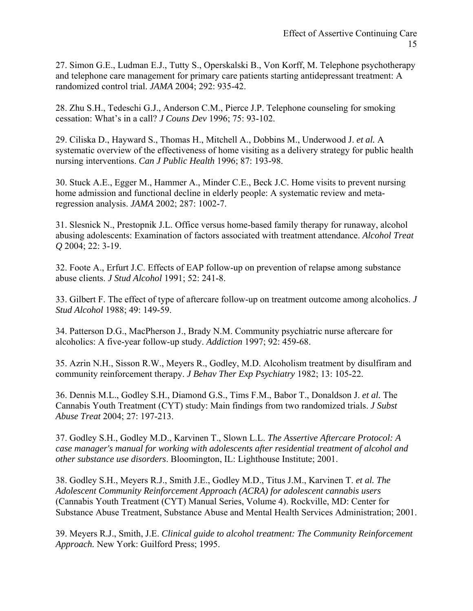27. Simon G.E., Ludman E.J., Tutty S., Operskalski B., Von Korff, M. Telephone psychotherapy and telephone care management for primary care patients starting antidepressant treatment: A randomized control trial. *JAMA* 2004; 292: 935-42.

28. Zhu S.H., Tedeschi G.J., Anderson C.M., Pierce J.P. Telephone counseling for smoking cessation: What's in a call? *J Couns Dev* 1996; 75: 93-102.

29. Ciliska D., Hayward S., Thomas H., Mitchell A., Dobbins M., Underwood J. *et al.* A systematic overview of the effectiveness of home visiting as a delivery strategy for public health nursing interventions. *Can J Public Health* 1996; 87: 193-98.

30. Stuck A.E., Egger M., Hammer A., Minder C.E., Beck J.C. Home visits to prevent nursing home admission and functional decline in elderly people: A systematic review and metaregression analysis. *JAMA* 2002; 287: 1002-7.

31. Slesnick N., Prestopnik J.L. Office versus home-based family therapy for runaway, alcohol abusing adolescents: Examination of factors associated with treatment attendance. *Alcohol Treat Q* 2004; 22: 3-19.

32. Foote A., Erfurt J.C. Effects of EAP follow-up on prevention of relapse among substance abuse clients. *J Stud Alcohol* 1991; 52: 241-8.

33. Gilbert F. The effect of type of aftercare follow-up on treatment outcome among alcoholics. *J Stud Alcohol* 1988; 49: 149-59.

34. Patterson D.G., MacPherson J., Brady N.M. Community psychiatric nurse aftercare for alcoholics: A five-year follow-up study. *Addiction* 1997; 92: 459-68.

35. Azrin N.H., Sisson R.W., Meyers R., Godley, M.D. Alcoholism treatment by disulfiram and community reinforcement therapy. *J Behav Ther Exp Psychiatry* 1982; 13: 105-22.

36. Dennis M.L., Godley S.H., Diamond G.S., Tims F.M., Babor T., Donaldson J. *et al.* The Cannabis Youth Treatment (CYT) study: Main findings from two randomized trials. *J Subst Abuse Treat* 2004; 27: 197-213.

37. Godley S.H., Godley M.D., Karvinen T., Slown L.L. *The Assertive Aftercare Protocol: A case manager's manual for working with adolescents after residential treatment of alcohol and other substance use disorders*. Bloomington, IL: Lighthouse Institute; 2001.

38. Godley S.H., Meyers R.J., Smith J.E., Godley M.D., Titus J.M., Karvinen T. *et al. The Adolescent Community Reinforcement Approach (ACRA) for adolescent cannabis users* (Cannabis Youth Treatment (CYT) Manual Series, Volume 4). Rockville, MD: Center for Substance Abuse Treatment, Substance Abuse and Mental Health Services Administration; 2001.

39. Meyers R.J., Smith, J.E. *Clinical guide to alcohol treatment: The Community Reinforcement Approach.* New York: Guilford Press; 1995.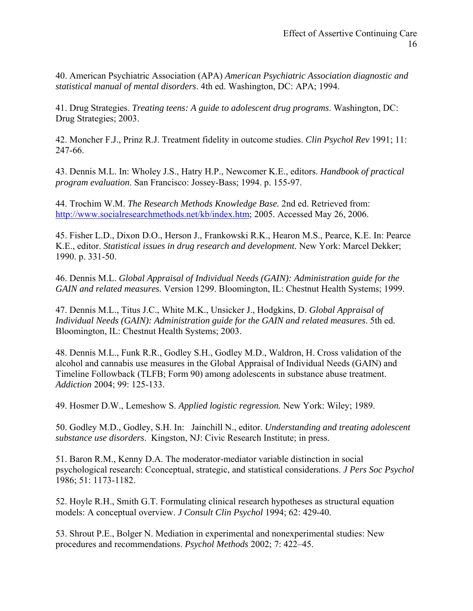40. American Psychiatric Association (APA) *American Psychiatric Association diagnostic and statistical manual of mental disorders*. 4th ed. Washington, DC: APA; 1994.

41. Drug Strategies. *Treating teens: A guide to adolescent drug programs*. Washington, DC: Drug Strategies; 2003.

42. Moncher F.J., Prinz R.J. Treatment fidelity in outcome studies. *Clin Psychol Rev* 1991; 11: 247-66.

43. Dennis M.L. In: Wholey J.S., Hatry H.P., Newcomer K.E., editors. *Handbook of practical program evaluation*. San Francisco: Jossey-Bass; 1994. p. 155-97.

44. Trochim W.M. *The Research Methods Knowledge Base.* 2nd ed. Retrieved from: [http://www.socialresearchmethods.net/kb/index.htm;](http://www.socialresearchmethods.net/kb/index.htm) 2005. Accessed May 26, 2006.

45. Fisher L.D., Dixon D.O., Herson J., Frankowski R.K., Hearon M.S., Pearce, K.E. In: Pearce K.E., editor. *Statistical issues in drug research and development.* New York: Marcel Dekker; 1990. p. 331-50.

46. Dennis M.L. *Global Appraisal of Individual Needs (GAIN): Administration guide for the GAIN and related measures.* Version 1299. Bloomington, IL: Chestnut Health Systems; 1999.

47. Dennis M.L., Titus J.C., White M.K., Unsicker J., Hodgkins, D. *Global Appraisal of Individual Needs (GAIN): Administration guide for the GAIN and related measures*. 5th ed. Bloomington, IL: Chestnut Health Systems; 2003.

48. Dennis M.L., Funk R.R., Godley S.H., Godley M.D., Waldron, H. Cross validation of the alcohol and cannabis use measures in the Global Appraisal of Individual Needs (GAIN) and Timeline Followback (TLFB; Form 90) among adolescents in substance abuse treatment. *Addiction* 2004; 99: 125-133.

49. Hosmer D.W., Lemeshow S. *Applied logistic regression.* New York: Wiley; 1989.

50. Godley M.D., Godley, S.H. In: Jainchill N., editor. *Understanding and treating adolescent substance use disorders*. Kingston, NJ: Civic Research Institute; in press.

51. Baron R.M., Kenny D.A. The moderator-mediator variable distinction in social psychological research: Cconceptual, strategic, and statistical considerations. *J Pers Soc Psychol*  1986; 51: 1173-1182.

52. Hoyle R.H., Smith G.T. Formulating clinical research hypotheses as structural equation models: A conceptual overview. *J Consult Clin Psychol* 1994; 62: 429-40.

53. Shrout P.E., Bolger N. Mediation in experimental and nonexperimental studies: New procedures and recommendations. *Psychol Methods* 2002; 7: 422–45.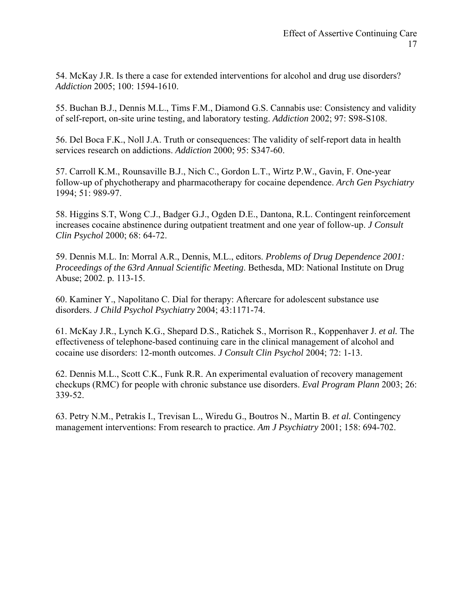54. McKay J.R. Is there a case for extended interventions for alcohol and drug use disorders? *Addiction* 2005; 100: 1594-1610.

55. Buchan B.J., Dennis M.L., Tims F.M., Diamond G.S. Cannabis use: Consistency and validity of self-report, on-site urine testing, and laboratory testing. *Addiction* 2002; 97: S98-S108.

56. Del Boca F.K., Noll J.A. Truth or consequences: The validity of self-report data in health services research on addictions. *Addiction* 2000; 95: S347-60.

57. Carroll K.M., Rounsaville B.J., Nich C., Gordon L.T., Wirtz P.W., Gavin, F. One-year follow-up of phychotherapy and pharmacotherapy for cocaine dependence. *Arch Gen Psychiatry*  1994; 51: 989-97.

58. Higgins S.T, Wong C.J., Badger G.J., Ogden D.E., Dantona, R.L. Contingent reinforcement increases cocaine abstinence during outpatient treatment and one year of follow-up. *J Consult Clin Psychol* 2000; 68: 64-72.

59. Dennis M.L. In: Morral A.R., Dennis, M.L., editors. *Problems of Drug Dependence 2001: Proceedings of the 63rd Annual Scientific Meeting*. Bethesda, MD: National Institute on Drug Abuse; 2002. p. 113-15.

60. Kaminer Y., Napolitano C. Dial for therapy: Aftercare for adolescent substance use disorders. *J Child Psychol Psychiatry* 2004; 43:1171-74.

61. McKay J.R., Lynch K.G., Shepard D.S., Ratichek S., Morrison R., Koppenhaver J. *et al.* The effectiveness of telephone-based continuing care in the clinical management of alcohol and cocaine use disorders: 12-month outcomes. *J Consult Clin Psychol* 2004; 72: 1-13.

62. Dennis M.L., Scott C.K., Funk R.R. An experimental evaluation of recovery management checkups (RMC) for people with chronic substance use disorders. *Eval Program Plann* 2003; 26: 339-52.

63. Petry N.M., Petrakis I., Trevisan L., Wiredu G., Boutros N., Martin B. *et al.* Contingency management interventions: From research to practice. *Am J Psychiatry* 2001; 158: 694-702.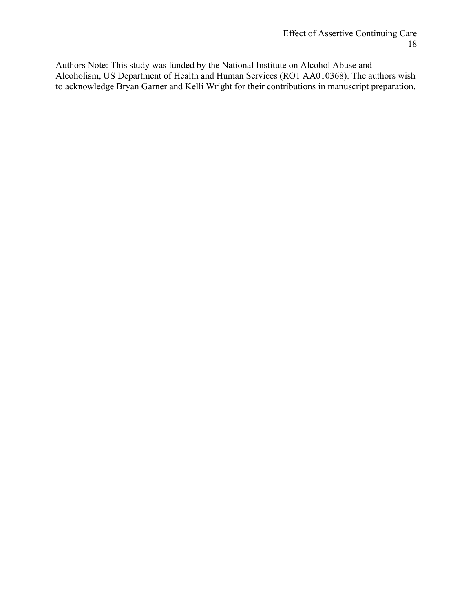Authors Note: This study was funded by the National Institute on Alcohol Abuse and Alcoholism, US Department of Health and Human Services (RO1 AA010368). The authors wish to acknowledge Bryan Garner and Kelli Wright for their contributions in manuscript preparation.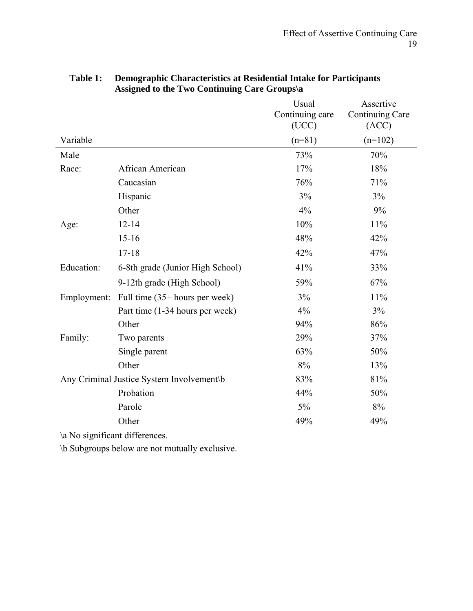|                                           |                                   | Usual<br>Continuing care<br>(UCC) | Assertive<br>Continuing Care<br>(ACC) |
|-------------------------------------------|-----------------------------------|-----------------------------------|---------------------------------------|
| Variable                                  |                                   | $(n=81)$                          | $(n=102)$                             |
| Male                                      |                                   | 73%                               | 70%                                   |
| Race:                                     | African American                  | 17%                               | 18%                                   |
|                                           | Caucasian                         | 76%                               | 71%                                   |
|                                           | Hispanic                          | 3%                                | 3%                                    |
|                                           | Other                             | 4%                                | 9%                                    |
| Age:                                      | $12 - 14$                         | 10%                               | 11%                                   |
|                                           | $15 - 16$                         | 48%                               | 42%                                   |
|                                           | $17 - 18$                         | 42%                               | 47%                                   |
| Education:                                | 6-8th grade (Junior High School)  | 41%                               | 33%                                   |
|                                           | 9-12th grade (High School)        | 59%                               | 67%                                   |
| Employment:                               | Full time $(35+)$ hours per week) | 3%                                | 11%                                   |
|                                           | Part time (1-34 hours per week)   | 4%                                | 3%                                    |
|                                           | Other                             | 94%                               | 86%                                   |
| Family:                                   | Two parents                       | 29%                               | 37%                                   |
|                                           | Single parent                     | 63%                               | 50%                                   |
|                                           | Other                             | 8%                                | 13%                                   |
| Any Criminal Justice System Involvement\b |                                   | 83%                               | 81%                                   |
|                                           | Probation                         | 44%                               | 50%                                   |
|                                           | Parole                            | $5\%$                             | $8\%$                                 |
|                                           | Other                             | 49%                               | 49%                                   |

## **Table 1: Demographic Characteristics at Residential Intake for Participants Assigned to the Two Continuing Care Groups\a**

\a No significant differences.

\b Subgroups below are not mutually exclusive.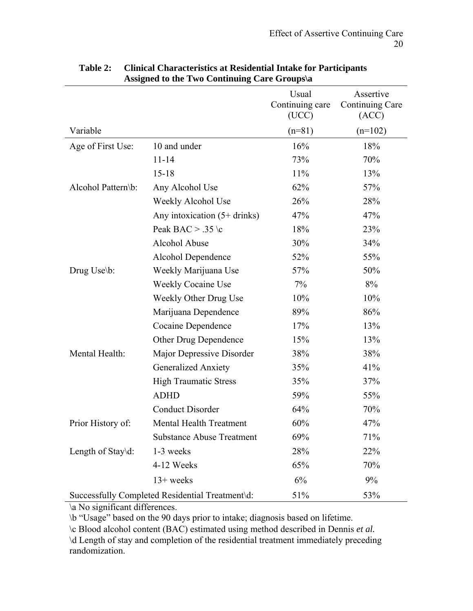|                    |                                                 | Usual<br>Continuing care<br>(UCC) | Assertive<br>Continuing Care<br>(ACC) |
|--------------------|-------------------------------------------------|-----------------------------------|---------------------------------------|
| Variable           |                                                 | $(n=81)$                          | $(n=102)$                             |
| Age of First Use:  | 10 and under                                    | 16%                               | 18%                                   |
|                    | $11 - 14$                                       | 73%                               | 70%                                   |
|                    | $15 - 18$                                       | 11%                               | 13%                                   |
| Alcohol Pattern\b: | Any Alcohol Use                                 | 62%                               | 57%                                   |
|                    | Weekly Alcohol Use                              | 26%                               | 28%                                   |
|                    | Any intoxication $(5+drinks)$                   | 47%                               | 47%                                   |
|                    | Peak BAC > .35 \c                               | 18%                               | 23%                                   |
|                    | Alcohol Abuse                                   | 30%                               | 34%                                   |
|                    | Alcohol Dependence                              | 52%                               | 55%                                   |
| Drug Use\b:        | Weekly Marijuana Use                            | 57%                               | 50%                                   |
|                    | <b>Weekly Cocaine Use</b>                       | 7%                                | 8%                                    |
|                    | Weekly Other Drug Use                           | 10%                               | 10%                                   |
|                    | Marijuana Dependence                            | 89%                               | 86%                                   |
|                    | Cocaine Dependence                              | 17%                               | 13%                                   |
|                    | Other Drug Dependence                           | 15%                               | 13%                                   |
| Mental Health:     | Major Depressive Disorder                       | 38%                               | 38%                                   |
|                    | <b>Generalized Anxiety</b>                      | 35%                               | 41%                                   |
|                    | <b>High Traumatic Stress</b>                    | 35%                               | 37%                                   |
|                    | <b>ADHD</b>                                     | 59%                               | 55%                                   |
|                    | <b>Conduct Disorder</b>                         | 64%                               | 70%                                   |
| Prior History of:  | <b>Mental Health Treatment</b>                  | 60%                               | 47%                                   |
|                    | <b>Substance Abuse Treatment</b>                | 69%                               | 71%                                   |
| Length of Stay\d:  | 1-3 weeks                                       | 28%                               | 22%                                   |
|                    | 4-12 Weeks                                      | 65%                               | 70%                                   |
|                    | $13+$ weeks                                     | 6%                                | 9%                                    |
|                    | Successfully Completed Residential Treatment\d: | 51%                               | 53%                                   |

## **Table 2: Clinical Characteristics at Residential Intake for Participants Assigned to the Two Continuing Care Groups\a**

\a No significant differences.

\b "Usage" based on the 90 days prior to intake; diagnosis based on lifetime.

\c Blood alcohol content (BAC) estimated using method described in Dennis *et al.*

\d Length of stay and completion of the residential treatment immediately preceding randomization.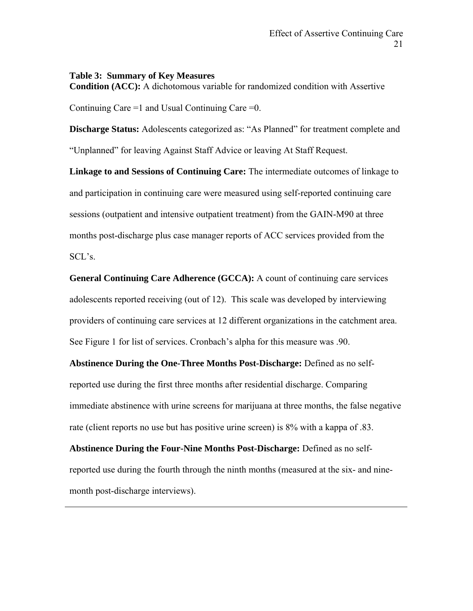#### **Table 3: Summary of Key Measures**

**Condition (ACC):** A dichotomous variable for randomized condition with Assertive

Continuing Care  $=1$  and Usual Continuing Care  $=0$ .

**Discharge Status:** Adolescents categorized as: "As Planned" for treatment complete and "Unplanned" for leaving Against Staff Advice or leaving At Staff Request.

**Linkage to and Sessions of Continuing Care:** The intermediate outcomes of linkage to and participation in continuing care were measured using self-reported continuing care sessions (outpatient and intensive outpatient treatment) from the GAIN-M90 at three months post-discharge plus case manager reports of ACC services provided from the SCL's.

**General Continuing Care Adherence (GCCA):** A count of continuing care services adolescents reported receiving (out of 12). This scale was developed by interviewing providers of continuing care services at 12 different organizations in the catchment area. See Figure 1 for list of services. Cronbach's alpha for this measure was .90.

**Abstinence During the One-Three Months Post-Discharge:** Defined as no selfreported use during the first three months after residential discharge. Comparing immediate abstinence with urine screens for marijuana at three months, the false negative rate (client reports no use but has positive urine screen) is 8% with a kappa of .83.

**Abstinence During the Four-Nine Months Post-Discharge:** Defined as no selfreported use during the fourth through the ninth months (measured at the six- and ninemonth post-discharge interviews).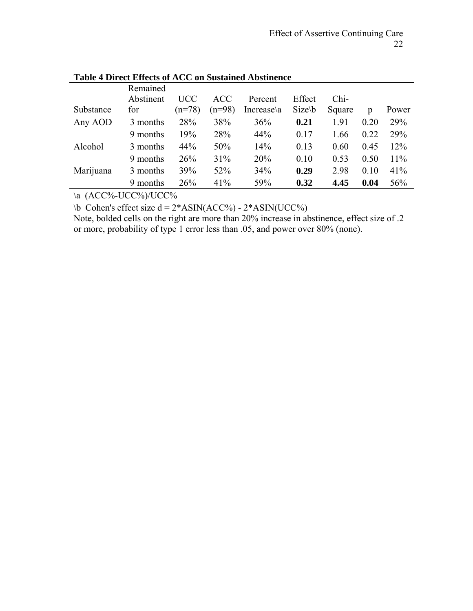|           | Remained  |          |            |            |             |        |      |       |
|-----------|-----------|----------|------------|------------|-------------|--------|------|-------|
|           | Abstinent | UCC      | <b>ACC</b> | Percent    | Effect      | $Chi-$ |      |       |
| Substance | for       | $(n=78)$ | $(n=98)$   | Increase\a | $Size \, b$ | Square | D    | Power |
| Any AOD   | 3 months  | 28%      | 38%        | 36%        | 0.21        | 1.91   | 0.20 | 29%   |
|           | 9 months  | 19%      | 28%        | 44%        | 0.17        | 1.66   | 0.22 | 29%   |
| Alcohol   | 3 months  | 44%      | 50%        | 14%        | 0.13        | 0.60   | 0.45 | 12%   |
|           | 9 months  | 26%      | 31%        | 20%        | 0.10        | 0.53   | 0.50 | 11%   |
| Marijuana | 3 months  | 39%      | 52%        | 34%        | 0.29        | 2.98   | 0.10 | 41%   |
|           | 9 months  | 26%      | 41%        | 59%        | 0.32        | 4.45   | 0.04 | 56%   |

**Table 4 Direct Effects of ACC on Sustained Abstinence** 

\a (ACC%-UCC%)/UCC%

 $\bb{R}$  Cohen's effect size d = 2\*ASIN(ACC%) - 2\*ASIN(UCC%)

Note, bolded cells on the right are more than 20% increase in abstinence, effect size of .2 or more, probability of type 1 error less than .05, and power over 80% (none).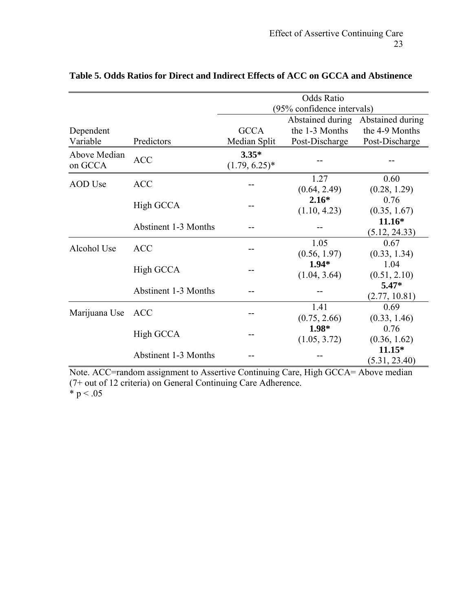|                         |                             | <b>Odds Ratio</b>           |                  |                  |  |  |
|-------------------------|-----------------------------|-----------------------------|------------------|------------------|--|--|
|                         |                             | (95% confidence intervals)  |                  |                  |  |  |
|                         |                             |                             | Abstained during | Abstained during |  |  |
| Dependent               |                             | <b>GCCA</b>                 | the 1-3 Months   | the 4-9 Months   |  |  |
| Variable                | Predictors                  | Median Split                | Post-Discharge   | Post-Discharge   |  |  |
| Above Median<br>on GCCA | <b>ACC</b>                  | $3.35*$<br>$(1.79, 6.25)^*$ |                  |                  |  |  |
| <b>AOD</b> Use          | <b>ACC</b>                  |                             | 1.27             | 0.60             |  |  |
|                         |                             |                             | (0.64, 2.49)     | (0.28, 1.29)     |  |  |
|                         | High GCCA                   |                             | $2.16*$          | 0.76             |  |  |
|                         |                             |                             | (1.10, 4.23)     | (0.35, 1.67)     |  |  |
|                         | <b>Abstinent 1-3 Months</b> |                             |                  | $11.16*$         |  |  |
|                         |                             |                             |                  | (5.12, 24.33)    |  |  |
| Alcohol Use             | <b>ACC</b>                  |                             | 1.05             | 0.67             |  |  |
|                         |                             |                             | (0.56, 1.97)     | (0.33, 1.34)     |  |  |
|                         | High GCCA                   |                             | $1.94*$          | 1.04             |  |  |
|                         |                             |                             | (1.04, 3.64)     | (0.51, 2.10)     |  |  |
|                         | <b>Abstinent 1-3 Months</b> |                             |                  | $5.47*$          |  |  |
|                         |                             |                             |                  | (2.77, 10.81)    |  |  |
| Marijuana Use           | <b>ACC</b>                  |                             | 1.41             | 0.69             |  |  |
|                         |                             |                             | (0.75, 2.66)     | (0.33, 1.46)     |  |  |
|                         | High GCCA                   |                             | $1.98*$          | 0.76             |  |  |
|                         |                             |                             | (1.05, 3.72)     | (0.36, 1.62)     |  |  |
|                         | <b>Abstinent 1-3 Months</b> |                             |                  | $11.15*$         |  |  |
|                         |                             |                             |                  | (5.31, 23.40)    |  |  |

## **Table 5. Odds Ratios for Direct and Indirect Effects of ACC on GCCA and Abstinence**

Note. ACC=random assignment to Assertive Continuing Care, High GCCA= Above median (7+ out of 12 criteria) on General Continuing Care Adherence. \*  $p < .05$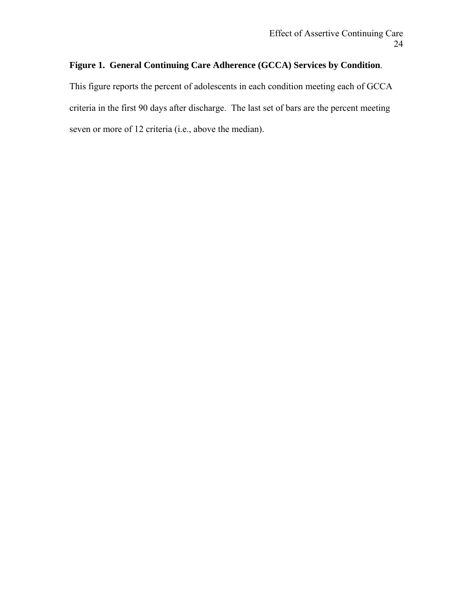## **Figure 1. General Continuing Care Adherence (GCCA) Services by Condition**.

This figure reports the percent of adolescents in each condition meeting each of GCCA criteria in the first 90 days after discharge. The last set of bars are the percent meeting seven or more of 12 criteria (i.e., above the median).